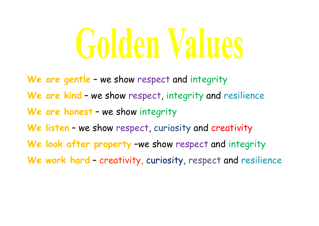# Golden Values

We are gentle - we show respect and integrity We are kind - we show respect, integrity and resilience **We are honest** – we show integrity We listen - we show respect, curiosity and creativity **We look after property** –we show respect and integrity We work hard - creativity, curiosity, respect and resilience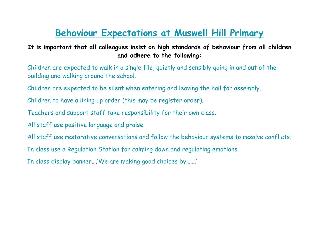## **Behaviour Expectations at Muswell Hill Primary**

#### **It is important that all colleagues insist on high standards of behaviour from all children and adhere to the following:**

- Children are expected to walk in a single file, quietly and sensibly going in and out of the building and walking around the school.
- Children are expected to be silent when entering and leaving the hall for assembly.
- Children to have a lining up order (this may be register order).
- Teachers and support staff take responsibility for their own class.
- All staff use positive language and praise.
- All staff use restorative conversations and follow the behaviour systems to resolve conflicts.
- In class use a Regulation Station for calming down and regulating emotions.
- In class display banner….'We are making good choices by…….'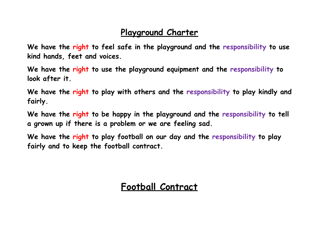### **Playground Charter**

**We have the right to feel safe in the playground and the responsibility to use kind hands, feet and voices.**

**We have the right to use the playground equipment and the responsibility to look after it.**

**We have the right to play with others and the responsibility to play kindly and fairly.**

**We have the right to be happy in the playground and the responsibility to tell a grown up if there is a problem or we are feeling sad.**

**We have the right to play football on our day and the responsibility to play fairly and to keep the football contract.**

## **Football Contract**